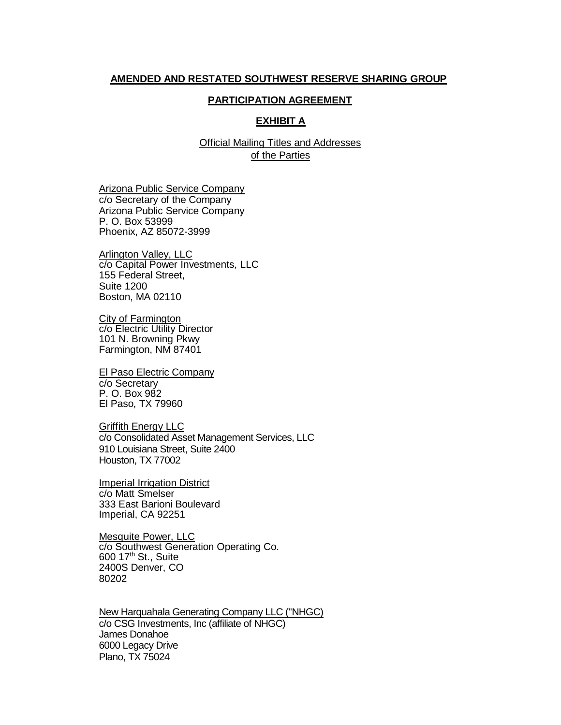## **AMENDED AND RESTATED SOUTHWEST RESERVE SHARING GROUP**

## **PARTICIPATION AGREEMENT**

## **EXHIBIT A**

Official Mailing Titles and Addresses of the Parties

Arizona Public Service Company c/o Secretary of the Company Arizona Public Service Company P. O. Box 53999 Phoenix, AZ 85072-3999

Arlington Valley, LLC c/o Capital Power Investments, LLC 155 Federal Street, Suite 1200 Boston, MA 02110

City of Farmington c/o Electric Utility Director 101 N. Browning Pkwy Farmington, NM 87401

El Paso Electric Company c/o Secretary P. O. Box 982 El Paso, TX 79960

Griffith Energy LLC c/o Consolidated Asset Management Services, LLC 910 Louisiana Street, Suite 2400 Houston, TX 77002

Imperial Irrigation District c/o Matt Smelser 333 East Barioni Boulevard Imperial, CA 92251

Mesquite Power, LLC c/o Southwest Generation Operating Co. 600 17th St., Suite 2400S Denver, CO 80202

New Harquahala Generating Company LLC ("NHGC) c/o CSG Investments, Inc (affiliate of NHGC) James Donahoe 6000 Legacy Drive Plano, TX 75024